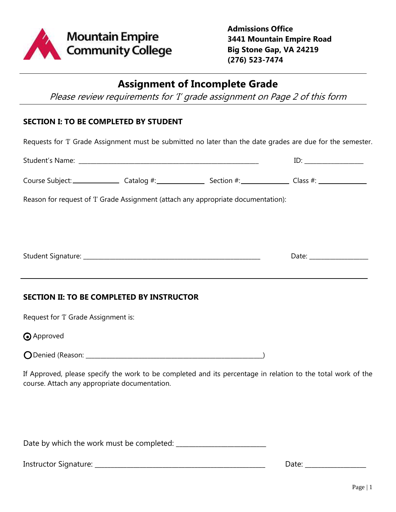

**Admissions Office 3441 Mountain Empire Road Big Stone Gap, VA 24219 (276) 523-7474**

# **Assignment of Incomplete Grade**

Please review requirements for 'I' grade assignment on Page 2 of this form

#### **SECTION I: TO BE COMPLETED BY STUDENT**

Requests for 'I' Grade Assignment must be submitted no later than the date grades are due for the semester.

|                                               | $ID: \begin{tabular}{ c c c c } \hline \quad \quad & \quad \quad & \quad \quad \\ \hline \end{tabular}$ |  |                                                                                                              |
|-----------------------------------------------|---------------------------------------------------------------------------------------------------------|--|--------------------------------------------------------------------------------------------------------------|
|                                               |                                                                                                         |  |                                                                                                              |
|                                               | Reason for request of 'I' Grade Assignment (attach any appropriate documentation):                      |  |                                                                                                              |
|                                               |                                                                                                         |  |                                                                                                              |
|                                               |                                                                                                         |  |                                                                                                              |
|                                               | ,我们也不会有什么。""我们的人,我们也不会有什么?""我们的人,我们也不会有什么?""我们的人,我们也不会有什么?""我们的人,我们也不会有什么?""我们的人                        |  |                                                                                                              |
|                                               | <b>SECTION II: TO BE COMPLETED BY INSTRUCTOR</b>                                                        |  |                                                                                                              |
| Request for 'I' Grade Assignment is:          |                                                                                                         |  |                                                                                                              |
| <b>O</b> Approved                             |                                                                                                         |  |                                                                                                              |
|                                               |                                                                                                         |  |                                                                                                              |
| course. Attach any appropriate documentation. |                                                                                                         |  | If Approved, please specify the work to be completed and its percentage in relation to the total work of the |
|                                               |                                                                                                         |  |                                                                                                              |
|                                               |                                                                                                         |  |                                                                                                              |

Date by which the work must be completed: \_\_\_\_\_\_\_\_\_\_\_\_\_\_\_\_\_\_\_\_\_\_\_\_\_\_\_\_

Instructor Signature: \_\_\_\_\_\_\_\_\_\_\_\_\_\_\_\_\_\_\_\_\_\_\_\_\_\_\_\_\_\_\_\_\_\_\_\_\_\_\_\_\_\_\_\_\_\_\_\_\_\_\_\_\_ Date: \_\_\_\_\_\_\_\_\_\_\_\_\_\_\_\_\_\_\_